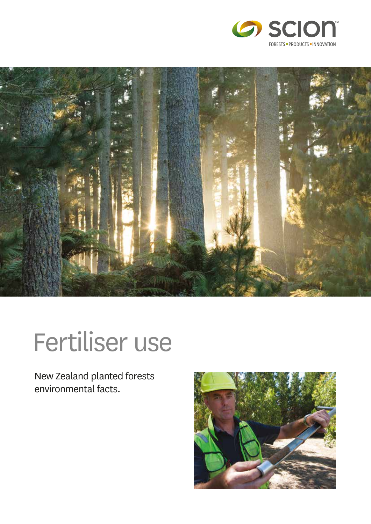



# Fertiliser use

New Zealand planted forests environmental facts.

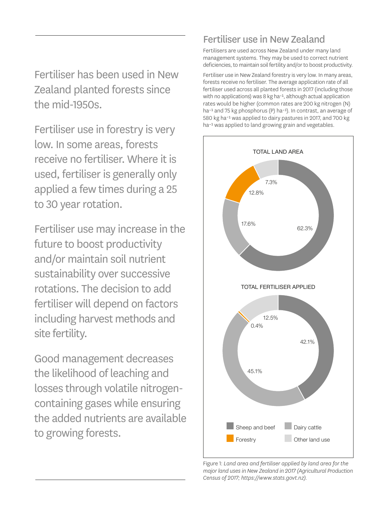Fertiliser has been used in New Zealand planted forests since the mid-1950s.

Fertiliser use in forestry is very low. In some areas, forests receive no fertiliser. Where it is used, fertiliser is generally only applied a few times during a 25 to 30 year rotation.

Fertiliser use may increase in the future to boost productivity and/or maintain soil nutrient sustainability over successive rotations. The decision to add fertiliser will depend on factors including harvest methods and site fertility.

Good management decreases the likelihood of leaching and losses through volatile nitrogencontaining gases while ensuring the added nutrients are available to growing forests.

### Fertiliser use in New Zealand

Fertilisers are used across New Zealand under many land management systems. They may be used to correct nutrient deficiencies, to maintain soil fertility and/or to boost productivity.

Fertiliser use in New Zealand forestry is very low. In many areas, forests receive no fertiliser. The average application rate of all fertiliser used across all planted forests in 2017 (including those with no applications) was 8 kg ha<sup>-1</sup>, although actual application rates would be higher (common rates are 200 kg nitrogen (N) ha<sup>-1</sup> and 75 kg phosphorus (P) ha<sup>-1</sup>). In contrast, an average of 580 kg ha<sup>-1</sup> was applied to dairy pastures in 2017, and 700 kg ha<sup>-1</sup> was applied to land growing grain and vegetables.



Figure 1: *Land area and fertiliser applied by land area for the major land uses in New Zealand in 2017 (Agricultural Production Census of 2017; https://www.stats.govt.nz).*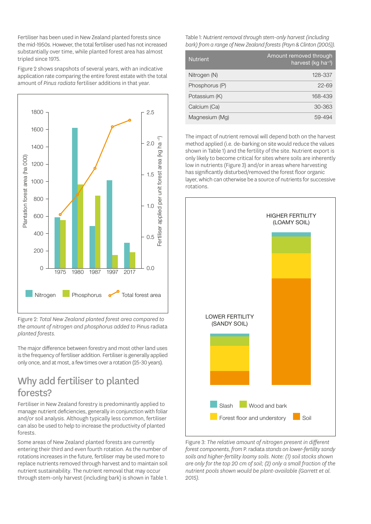Fertiliser has been used in New Zealand planted forests since the mid-1950s. However, the total fertiliser used has not increased substantially over time, while planted forest area has almost tripled since 1975.

Figure 2 shows snapshots of several years, with an indicative application rate comparing the entire forest estate with the total amount of *Pinus radiata* fertiliser additions in that year.



Figure 2: *Total New Zealand planted forest area compared to the amount of nitrogen and phosphorus added to* Pinus radiata *planted forests.* 

The major difference between forestry and most other land uses is the frequency of fertiliser addition. Fertiliser is generally applied only once, and at most, a few times over a rotation (25-30 years).

#### Why add fertiliser to planted forests?

Fertiliser in New Zealand forestry is predominantly applied to manage nutrient deficiencies, generally in conjunction with foliar and/or soil analysis. Although typically less common, fertiliser can also be used to help to increase the productivity of planted forests.

Some areas of New Zealand planted forests are currently entering their third and even fourth rotation. As the number of rotations increases in the future, fertiliser may be used more to replace nutrients removed through harvest and to maintain soil nutrient sustainability. The nutrient removal that may occur through stem-only harvest (including bark) is shown in Table 1.

Table 1: *Nutrient removal through stem-only harvest (including bark) from a range of New Zealand forests (Payn & Clinton (2005)).*

| <b>Nutrient</b> | Amount removed through<br>harvest (kg ha-1) |
|-----------------|---------------------------------------------|
| Nitrogen (N)    | 128-337                                     |
| Phosphorus (P)  | $22 - 69$                                   |
| Potassium (K)   | 168-439                                     |
| Calcium (Ca)    | 30-363                                      |
| Magnesium (Mg)  | 59-494                                      |

The impact of nutrient removal will depend both on the harvest method applied (i.e. de-barking on site would reduce the values shown in Table 1) and the fertility of the site. Nutrient export is only likely to become critical for sites where soils are inherently low in nutrients (Figure 3) and/or in areas where harvesting has significantly disturbed/removed the forest floor organic layer, which can otherwise be a source of nutrients for successive rotations.



Figure 3: *The relative amount of nitrogen present in different forest components, from* P. radiata *stands on lower-fertility sandy soils and higher-fertility loamy soils. Note: (1) soil stocks shown are only for the top 20 cm of soil; (2) only a small fraction of the nutrient pools shown would be plant-available (Garrett et al. 2015).*